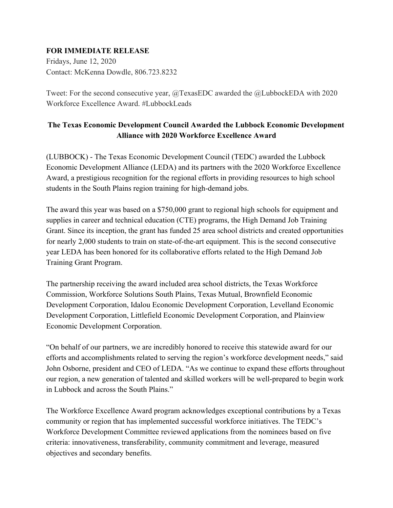## **FOR IMMEDIATE RELEASE**

Fridays, June 12, 2020 Contact: McKenna Dowdle, 806.723.8232

Tweet: For the second consecutive year, @TexasEDC awarded the @LubbockEDA with 2020 Workforce Excellence Award. #LubbockLeads

## **The Texas Economic Development Council Awarded the Lubbock Economic Development Alliance with 2020 Workforce Excellence Award**

(LUBBOCK) - The Texas Economic Development Council (TEDC) awarded the Lubbock Economic Development Alliance (LEDA) and its partners with the 2020 Workforce Excellence Award, a prestigious recognition for the regional efforts in providing resources to high school students in the South Plains region training for high-demand jobs.

The award this year was based on a \$750,000 grant to regional high schools for equipment and supplies in career and technical education (CTE) programs, the High Demand Job Training Grant. Since its inception, the grant has funded 25 area school districts and created opportunities for nearly 2,000 students to train on state-of-the-art equipment. This is the second consecutive year LEDA has been honored for its collaborative efforts related to the High Demand Job Training Grant Program.

The partnership receiving the award included area school districts, the Texas Workforce Commission, Workforce Solutions South Plains, Texas Mutual, Brownfield Economic Development Corporation, Idalou Economic Development Corporation, Levelland Economic Development Corporation, Littlefield Economic Development Corporation, and Plainview Economic Development Corporation.

"On behalf of our partners, we are incredibly honored to receive this statewide award for our efforts and accomplishments related to serving the region's workforce development needs," said John Osborne, president and CEO of LEDA. "As we continue to expand these efforts throughout our region, a new generation of talented and skilled workers will be well-prepared to begin work in Lubbock and across the South Plains."

The Workforce Excellence Award program acknowledges exceptional contributions by a Texas community or region that has implemented successful workforce initiatives. The TEDC's Workforce Development Committee reviewed applications from the nominees based on five criteria: innovativeness, transferability, community commitment and leverage, measured objectives and secondary benefits.